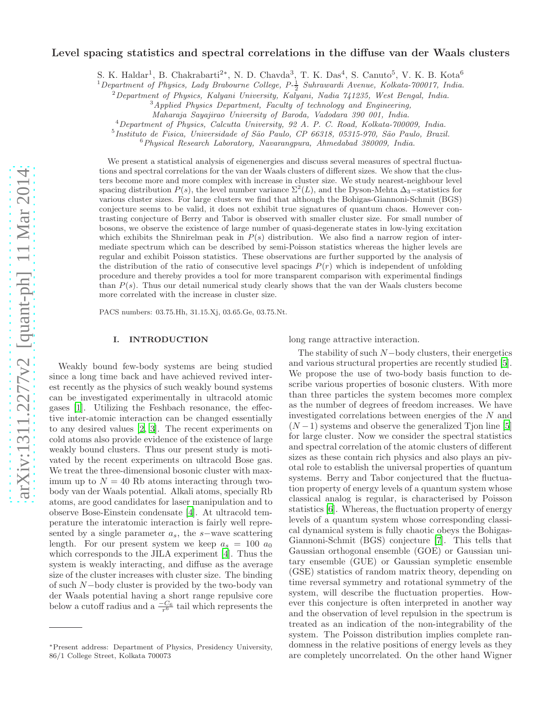# arXiv:1311.2277v2 [quant-ph] 11 Mar 2014 [arXiv:1311.2277v2 \[quant-ph\] 11 Mar 2014](http://arxiv.org/abs/1311.2277v2)

# Level spacing statistics and spectral correlations in the diffuse van der Waals clusters

S. K. Haldar<sup>1</sup>, B. Chakrabarti<sup>2\*</sup>, N. D. Chavda<sup>3</sup>, T. K. Das<sup>4</sup>, S. Canuto<sup>5</sup>, V. K. B. Kota<sup>6</sup>

 $1$ Department of Physics, Lady Brabourne College, P- $\frac{1}{2}$  Suhrawardi Avenue, Kolkata-700017, India.

<sup>2</sup>Department of Physics, Kalyani University, Kalyani, Nadia 741235, West Bengal, India.

<sup>3</sup>Applied Physics Department, Faculty of technology and Engineering,

Maharaja Sayajirao University of Baroda, Vadodara 390 001, India.

<sup>4</sup>Department of Physics, Calcutta University, 92 A. P. C. Road, Kolkata-700009, India.

<sup>5</sup> Instituto de Fisica, Universidade of São Paulo, CP 66318, 05315-970, São Paulo, Brazil.

<sup>6</sup>Physical Research Laboratory, Navarangpura, Ahmedabad 380009, India.

We present a statistical analysis of eigenenergies and discuss several measures of spectral fluctuations and spectral correlations for the van der Waals clusters of different sizes. We show that the clusters become more and more complex with increase in cluster size. We study nearest-neighbour level spacing distribution  $P(s)$ , the level number variance  $\Sigma^2(L)$ , and the Dyson-Mehta  $\Delta_3$ –statistics for various cluster sizes. For large clusters we find that although the Bohigas-Giannoni-Schmit (BGS) conjecture seems to be valid, it does not exhibit true signatures of quantum chaos. However contrasting conjecture of Berry and Tabor is observed with smaller cluster size. For small number of bosons, we observe the existence of large number of quasi-degenerate states in low-lying excitation which exhibits the Shnirelman peak in  $P(s)$  distribution. We also find a narrow region of intermediate spectrum which can be described by semi-Poisson statistics whereas the higher levels are regular and exhibit Poisson statistics. These observations are further supported by the analysis of the distribution of the ratio of consecutive level spacings  $P(r)$  which is independent of unfolding procedure and thereby provides a tool for more transparent comparison with experimental findings than  $P(s)$ . Thus our detail numerical study clearly shows that the van der Waals clusters become more correlated with the increase in cluster size.

PACS numbers: 03.75.Hh, 31.15.Xj, 03.65.Ge, 03.75.Nt.

# I. INTRODUCTION

Weakly bound few-body systems are being studied since a long time back and have achieved revived interest recently as the physics of such weakly bound systems can be investigated experimentally in ultracold atomic gases [\[1\]](#page-9-0). Utilizing the Feshbach resonance, the effective inter-atomic interaction can be changed essentially to any desired values [\[2](#page-9-1), [3\]](#page-9-2). The recent experiments on cold atoms also provide evidence of the existence of large weakly bound clusters. Thus our present study is motivated by the recent experiments on ultracold Bose gas. We treat the three-dimensional bosonic cluster with maximum up to  $N = 40$  Rb atoms interacting through twobody van der Waals potential. Alkali atoms, specially Rb atoms, are good candidates for laser manipulation and to observe Bose-Einstein condensate [\[4\]](#page-9-3). At ultracold temperature the interatomic interaction is fairly well represented by a single parameter  $a_s$ , the s−wave scattering length. For our present system we keep  $a_s = 100 a_0$ which corresponds to the JILA experiment [\[4](#page-9-3)]. Thus the system is weakly interacting, and diffuse as the average size of the cluster increases with cluster size. The binding of such N−body cluster is provided by the two-body van der Waals potential having a short range repulsive core below a cutoff radius and a  $\frac{-C_6}{r^6}$  tail which represents the

long range attractive interaction.

The stability of such  $N-$ body clusters, their energetics and various structural properties are recently studied [\[5\]](#page-9-4). We propose the use of two-body basis function to describe various properties of bosonic clusters. With more than three particles the system becomes more complex as the number of degrees of freedom increases. We have investigated correlations between energies of the N and  $(N-1)$  systems and observe the generalized Tjon line [\[5](#page-9-4)] for large cluster. Now we consider the spectral statistics and spectral correlation of the atomic clusters of different sizes as these contain rich physics and also plays an pivotal role to establish the universal properties of quantum systems. Berry and Tabor conjectured that the fluctuation property of energy levels of a quantum system whose classical analog is regular, is characterised by Poisson statistics [\[6\]](#page-9-5). Whereas, the fluctuation property of energy levels of a quantum system whose corresponding classical dynamical system is fully chaotic obeys the Bohigas-Giannoni-Schmit (BGS) conjecture [\[7](#page-9-6)]. This tells that Gaussian orthogonal ensemble (GOE) or Gaussian unitary ensemble (GUE) or Gaussian sympletic ensemble (GSE) statistics of random matrix theory, depending on time reversal symmetry and rotational symmetry of the system, will describe the fluctuation properties. However this conjecture is often interpreted in another way and the observation of level repulsion in the spectrum is treated as an indication of the non-integrability of the system. The Poisson distribution implies complete randomness in the relative positions of energy levels as they are completely uncorrelated. On the other hand Wigner

<sup>∗</sup>Present address: Department of Physics, Presidency University, 86/1 College Street, Kolkata 700073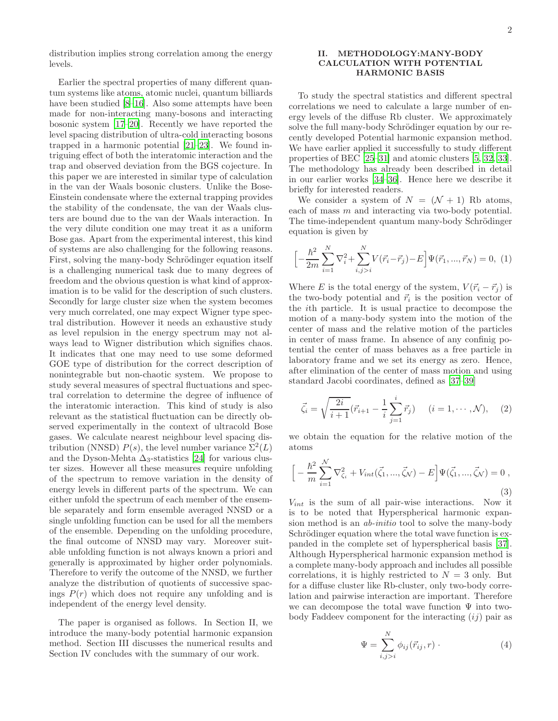distribution implies strong correlation among the energy levels.

Earlier the spectral properties of many different quantum systems like atoms, atomic nuclei, quantum billiards have been studied [\[8](#page-9-7)[–16\]](#page-9-8). Also some attempts have been made for non-interacting many-bosons and interacting bosonic system [\[17](#page-9-9)[–20\]](#page-9-10). Recently we have reported the level spacing distribution of ultra-cold interacting bosons trapped in a harmonic potential [\[21](#page-10-0)[–23\]](#page-10-1). We found intriguing effect of both the interatomic interaction and the trap and observed deviation from the BGS cojecture. In this paper we are interested in similar type of calculation in the van der Waals bosonic clusters. Unlike the Bose-Einstein condensate where the external trapping provides the stability of the condensate, the van der Waals clusters are bound due to the van der Waals interaction. In the very dilute condition one may treat it as a uniform Bose gas. Apart from the experimental interest, this kind of systems are also challenging for the following reasons. First, solving the many-body Schrödinger equation itself is a challenging numerical task due to many degrees of freedom and the obvious question is what kind of approximation is to be valid for the description of such clusters. Secondly for large cluster size when the system becomes very much correlated, one may expect Wigner type spectral distribution. However it needs an exhaustive study as level repulsion in the energy spectrum may not always lead to Wigner distribution which signifies chaos. It indicates that one may need to use some deformed GOE type of distribution for the correct description of nonintegrable but non-chaotic system. We propose to study several measures of spectral fluctuations and spectral correlation to determine the degree of influence of the interatomic interaction. This kind of study is also relevant as the statistical fluctuation can be directly observed experimentally in the context of ultracold Bose gases. We calculate nearest neighbour level spacing distribution (NNSD)  $P(s)$ , the level number variance  $\Sigma^2(L)$ and the Dyson-Mehta  $\Delta_3$ -statistics [\[24](#page-10-2)] for various cluster sizes. However all these measures require unfolding of the spectrum to remove variation in the density of energy levels in different parts of the spectrum. We can either unfold the spectrum of each member of the ensemble separately and form ensemble averaged NNSD or a single unfolding function can be used for all the members of the ensemble. Depending on the unfolding procedure, the final outcome of NNSD may vary. Moreover suitable unfolding function is not always known a priori and generally is approximated by higher order polynomials. Therefore to verify the outcome of the NNSD, we further analyze the distribution of quotients of successive spacings  $P(r)$  which does not require any unfolding and is independent of the energy level density.

The paper is organised as follows. In Section II, we introduce the many-body potential harmonic expansion method. Section III discusses the numerical results and Section IV concludes with the summary of our work.

# II. METHODOLOGY:MANY-BODY CALCULATION WITH POTENTIAL HARMONIC BASIS

To study the spectral statistics and different spectral correlations we need to calculate a large number of energy levels of the diffuse Rb cluster. We approximately solve the full many-body Schrödinger equation by our recently developed Potential harmonic expansion method. We have earlier applied it successfully to study different properties of BEC [\[25](#page-10-3)[–31\]](#page-10-4) and atomic clusters [\[5,](#page-9-4) [32](#page-10-5), [33\]](#page-10-6). The methodology has already been described in detail in our earlier works [\[34](#page-10-7)[–36\]](#page-10-8). Hence here we describe it briefly for interested readers.

We consider a system of  $N = (\mathcal{N} + 1)$  Rb atoms, each of mass  $m$  and interacting via two-body potential. The time-independent quantum many-body Schrödinger equation is given by

$$
\[-\frac{\hbar^2}{2m}\sum_{i=1}^N \nabla_i^2 + \sum_{i,j>i}^N V(\vec{r}_i - \vec{r}_j) - E\] \Psi(\vec{r}_1, ..., \vec{r}_N) = 0, (1)
$$

Where E is the total energy of the system,  $V(\vec{r}_i - \vec{r}_j)$  is the two-body potential and  $\vec{r}_i$  is the position vector of the ith particle. It is usual practice to decompose the motion of a many-body system into the motion of the center of mass and the relative motion of the particles in center of mass frame. In absence of any confinig potential the center of mass behaves as a free particle in laboratory frame and we set its energy as zero. Hence, after elimination of the center of mass motion and using standard Jacobi coordinates, defined as [\[37](#page-10-9)[–39\]](#page-10-10)

$$
\vec{\zeta}_i = \sqrt{\frac{2i}{i+1}} (\vec{r}_{i+1} - \frac{1}{i} \sum_{j=1}^i \vec{r}_j) \quad (i = 1, \cdots, \mathcal{N}), \quad (2)
$$

we obtain the equation for the relative motion of the atoms

$$
\[ -\frac{\hbar^2}{m} \sum_{i=1}^{N} \nabla_{\zeta_i}^2 + V_{int}(\vec{\zeta}_1, ..., \vec{\zeta}_N) - E \] \Psi(\vec{\zeta}_1, ..., \vec{\zeta}_N) = 0 ,
$$
\n(3)

 $V_{int}$  is the sum of all pair-wise interactions. Now it is to be noted that Hyperspherical harmonic expansion method is an ab-initio tool to solve the many-body Schrödinger equation where the total wave function is expanded in the complete set of hyperspherical basis [\[37\]](#page-10-9). Although Hyperspherical harmonic expansion method is a complete many-body approach and includes all possible correlations, it is highly restricted to  $N = 3$  only. But for a diffuse cluster like Rb-cluster, only two-body correlation and pairwise interaction are important. Therefore we can decompose the total wave function  $\Psi$  into twobody Faddeev component for the interacting  $(ij)$  pair as

$$
\Psi = \sum_{i,j>i}^{N} \phi_{ij}(\vec{r}_{ij},r) \tag{4}
$$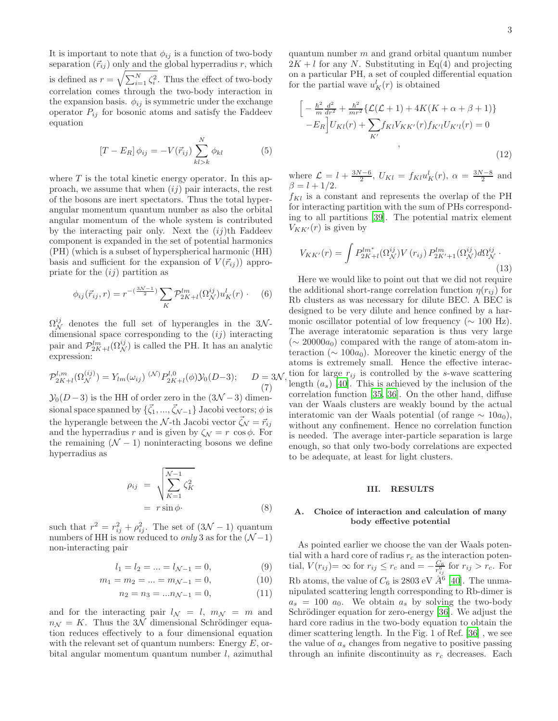It is important to note that  $\phi_{ij}$  is a function of two-body separation  $(\vec{r}_{ij})$  only and the global hyperradius r, which is defined as  $r = \sqrt{\sum_{i=1}^{N} \zeta_i^2}$ . Thus the effect of two-body correlation comes through the two-body interaction in the expansion basis.  $\phi_{ij}$  is symmetric under the exchange operator  $P_{ij}$  for bosonic atoms and satisfy the Faddeev equation

$$
[T - E_R] \phi_{ij} = -V(\vec{r}_{ij}) \sum_{kl>k}^{N} \phi_{kl} \tag{5}
$$

where  $T$  is the total kinetic energy operator. In this approach, we assume that when  $(ij)$  pair interacts, the rest of the bosons are inert spectators. Thus the total hyperangular momentum quantum number as also the orbital angular momentum of the whole system is contributed by the interacting pair only. Next the  $(ij)$ <sup>th</sup> Faddeev component is expanded in the set of potential harmonics (PH) (which is a subset of hyperspherical harmonic (HH) basis and sufficient for the expansion of  $V(\vec{r}_{ii})$  appropriate for the  $(ij)$  partition as

$$
\phi_{ij}(\vec{r}_{ij},r) = r^{-\left(\frac{3\mathcal{N}-1}{2}\right)} \sum_{K} \mathcal{P}_{2K+l}^{lm}(\Omega_{\mathcal{N}}^{ij}) u_K^l(r) \qquad (6)
$$

 $\Omega_N^{ij}$  denotes the full set of hyperangles in the 3Ndimensional space corresponding to the  $(ij)$  interacting pair and  $\mathcal{P}_{2K+l}^{lm}(\Omega_N^{ij})$  is called the PH. It has an analytic expression:

$$
\mathcal{P}_{2K+l}^{l,m}(\Omega_N^{(ij)}) = Y_{lm}(\omega_{ij}) \, {}^{(\mathcal{N})}P_{2K+l}^{l,0}(\phi)\mathcal{Y}_0(D-3); \qquad D = 3\mathcal{N},\tag{7}
$$

 $\mathcal{Y}_0(D-3)$  is the HH of order zero in the  $(3\mathcal{N}-3)$  dimensional space spanned by  $\{\vec{\zeta}_1, ..., \vec{\zeta}_{\mathcal{N}-1}\}$  Jacobi vectors;  $\phi$  is the hyperangle between the  $\mathcal{N}\text{-th}$  Jacobi vector  $\vec{\zeta}_{\mathcal{N}} = \vec{r}_{ij}$ and the hyperradius r and is given by  $\zeta_{\mathcal{N}} = r \cos \phi$ . For the remaining  $(N - 1)$  noninteracting bosons we define hyperradius as

$$
\rho_{ij} = \sqrt{\sum_{K=1}^{N-1} \zeta_K^2}
$$
  
=  $r \sin \phi$ . (8)

such that  $r^2 = r_{ij}^2 + \rho_{ij}^2$ . The set of  $(3\mathcal{N} - 1)$  quantum numbers of HH is now reduced to *only* 3 as for the  $(N-1)$ non-interacting pair

$$
l_1 = l_2 = \dots = l_{\mathcal{N}-1} = 0,\tag{9}
$$

$$
m_1 = m_2 = \dots = m_{\mathcal{N}-1} = 0,\tag{10}
$$

$$
n_2 = n_3 = ... n_{\mathcal{N}-1} = 0,\tag{11}
$$

and for the interacting pair  $l_N = l$ ,  $m_N = m$  and  $n_N = K$ . Thus the 3N dimensional Schrödinger equation reduces effectively to a four dimensional equation with the relevant set of quantum numbers: Energy  $E$ , orbital angular momentum quantum number l, azimuthal

quantum number  $m$  and grand orbital quantum number  $2K + l$  for any N. Substituting in Eq(4) and projecting on a particular PH, a set of coupled differential equation for the partial wave  $u_K^l(r)$  is obtained

<span id="page-2-0"></span>
$$
\left[ -\frac{\hbar^2}{m} \frac{d^2}{dr^2} + \frac{\hbar^2}{mr^2} \{ \mathcal{L}(\mathcal{L} + 1) + 4K(K + \alpha + \beta + 1) \} - E_R \right] U_{Kl}(r) + \sum_{K'} f_{Kl} V_{KK'}(r) f_{K'l} U_{K'l}(r) = 0
$$
\n
$$
,
$$
\n(12)

where  $\mathcal{L} = l + \frac{3N-6}{2}$ ,  $U_{Kl} = f_{Kl} u_K^l(r)$ ,  $\alpha = \frac{3N-8}{2}$  and  $\beta = l + 1/2.$ 

 $f_{Kl}$  is a constant and represents the overlap of the PH for interacting partition with the sum of PHs corresponding to all partitions [\[39](#page-10-10)]. The potential matrix element  $V_{KK'}(r)$  is given by

$$
V_{KK'}(r) = \int P_{2K+l}^{lm^*} (\Omega_N^{ij}) V(r_{ij}) P_{2K'+1}^{lm} (\Omega_N^{ij}) d\Omega_N^{ij}.
$$
\n(13)

Here we would like to point out that we did not require the additional short-range correlation function  $\eta(r_{ij})$  for Rb clusters as was necessary for dilute BEC. A BEC is designed to be very dilute and hence confined by a harmonic oscillator potential of low frequency ( $\sim 100$  Hz). The average interatomic separation is thus very large  $(\sim 20000a_0)$  compared with the range of atom-atom interaction ( $\sim 100a_0$ ). Moreover the kinetic energy of the atoms is extremely small. Hence the effective interaction for large  $r_{ij}$  is controlled by the s-wave scattering length  $(a_s)$  [\[40\]](#page-10-11). This is achieved by the inclusion of the correlation function [\[35](#page-10-12), [36](#page-10-8)]. On the other hand, diffuse van der Waals clusters are weakly bound by the actual interatomic van der Waals potential (of range  $\sim 10a_0$ ), without any confinement. Hence no correlation function is needed. The average inter-particle separation is large enough, so that only two-body correlations are expected to be adequate, at least for light clusters.

# III. RESULTS

# A. Choice of interaction and calculation of many body effective potential

As pointed earlier we choose the van der Waals potential with a hard core of radius  $r_c$  as the interaction potential,  $V(r_{ij}) = \infty$  for  $r_{ij} \le r_c$  and  $= -\frac{C_6}{r_{ij}^6}$  for  $r_{ij} > r_c$ . For Rb atoms, the value of  $C_6$  is 2803 eV  $\AA^6$  [\[40\]](#page-10-11). The unmanipulated scattering length corresponding to Rb-dimer is  $a_s = 100 a_0$ . We obtain  $a_s$  by solving the two-body Schrödinger equation for zero-energy [\[36\]](#page-10-8). We adjust the hard core radius in the two-body equation to obtain the dimer scattering length. In the Fig. 1 of Ref. [\[36](#page-10-8)] , we see the value of  $a_s$  changes from negative to positive passing through an infinite discontinuity as  $r_c$  decreases. Each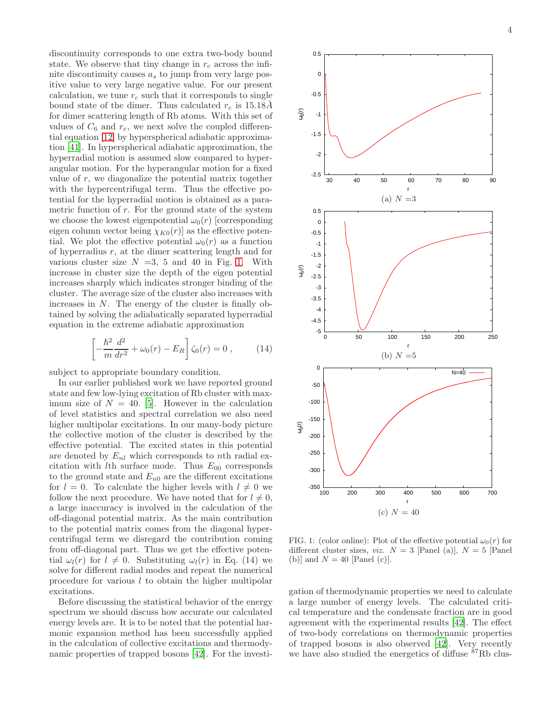discontinuity corresponds to one extra two-body bound state. We observe that tiny change in  $r_c$  across the infinite discontinuity causes  $a_s$  to jump from very large positive value to very large negative value. For our present calculation, we tune  $r_c$  such that it corresponds to single bound state of the dimer. Thus calculated  $r_c$  is 15.18Å for dimer scattering length of Rb atoms. With this set of values of  $C_6$  and  $r_c$ , we next solve the coupled differential equation [\[12\]](#page-2-0) by hyperspherical adiabatic approximation [\[41\]](#page-10-13). In hyperspherical adiabatic approximation, the hyperradial motion is assumed slow compared to hyperangular motion. For the hyperangular motion for a fixed value of  $r$ , we diagonalize the potential matrix together with the hypercentrifugal term. Thus the effective potential for the hyperradial motion is obtained as a parametric function of  $r$ . For the ground state of the system we choose the lowest eigenpotential  $\omega_0(r)$  [corresponding eigen column vector being  $\chi_{K0}(r)$  as the effective potential. We plot the effective potential  $\omega_0(r)$  as a function of hyperradius  $r$ , at the dimer scattering length and for various cluster size  $N = 3$ , 5 and 40 in Fig. [1.](#page-3-0) With increase in cluster size the depth of the eigen potential increases sharply which indicates stronger binding of the cluster. The average size of the cluster also increases with increases in  $N$ . The energy of the cluster is finally obtained by solving the adiabatically separated hyperradial equation in the extreme adiabatic approximation

$$
\left[ -\frac{\hbar^2}{m} \frac{d^2}{dr^2} + \omega_0(r) - E_R \right] \zeta_0(r) = 0 , \qquad (14)
$$

subject to appropriate boundary condition.

In our earlier published work we have reported ground state and few low-lying excitation of Rb cluster with maximum size of  $N = 40$ . [\[5\]](#page-9-4). However in the calculation of level statistics and spectral correlation we also need higher multipolar excitations. In our many-body picture the collective motion of the cluster is described by the effective potential. The excited states in this potential are denoted by  $E_{nl}$  which corresponds to nth radial excitation with *lth* surface mode. Thus  $E_{00}$  corresponds to the ground state and  $E_{n0}$  are the different excitations for  $l = 0$ . To calculate the higher levels with  $l \neq 0$  we follow the next procedure. We have noted that for  $l \neq 0$ , a large inaccuracy is involved in the calculation of the off-diagonal potential matrix. As the main contribution to the potential matrix comes from the diagonal hypercentrifugal term we disregard the contribution coming from off-diagonal part. Thus we get the effective potential  $\omega_l(r)$  for  $l \neq 0$ . Substituting  $\omega_l(r)$  in Eq. (14) we solve for different radial modes and repeat the numerical procedure for various l to obtain the higher multipolar excitations.

Before discussing the statistical behavior of the energy spectrum we should discuss how accurate our calculated energy levels are. It is to be noted that the potential harmonic expansion method has been successfully applied in the calculation of collective excitations and thermodynamic properties of trapped bosons [\[42](#page-10-14)]. For the investi-



<span id="page-3-0"></span>FIG. 1: (color online): Plot of the effective potential  $\omega_0(r)$  for different cluster sizes, *viz.*  $N = 3$  [Panel (a)],  $N = 5$  [Panel (b)] and  $N = 40$  [Panel (c)].

gation of thermodynamic properties we need to calculate a large number of energy levels. The calculated critical temperature and the condensate fraction are in good agreement with the experimental results [\[42\]](#page-10-14). The effect of two-body correlations on thermodynamic properties of trapped bosons is also observed [\[42](#page-10-14)]. Very recently we have also studied the energetics of diffuse <sup>87</sup>Rb clus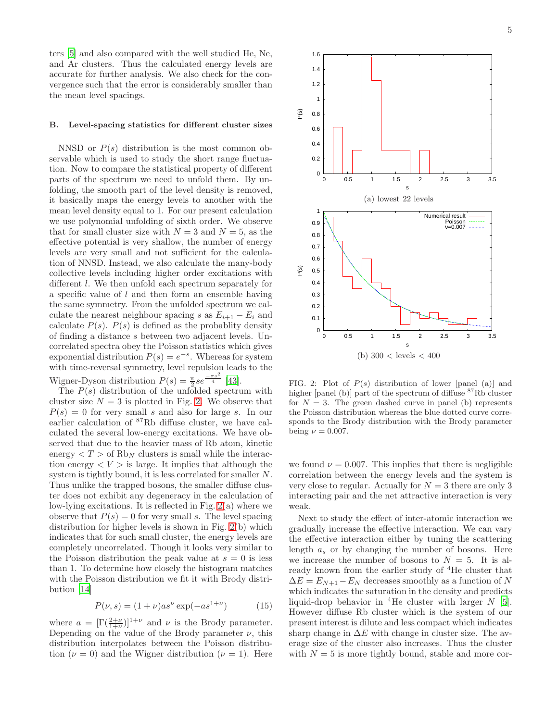ters [\[5](#page-9-4)] and also compared with the well studied He, Ne, and Ar clusters. Thus the calculated energy levels are accurate for further analysis. We also check for the convergence such that the error is considerably smaller than the mean level spacings.

# B. Level-spacing statistics for different cluster sizes

NNSD or  $P(s)$  distribution is the most common observable which is used to study the short range fluctuation. Now to compare the statistical property of different parts of the spectrum we need to unfold them. By unfolding, the smooth part of the level density is removed, it basically maps the energy levels to another with the mean level density equal to 1. For our present calculation we use polynomial unfolding of sixth order. We observe that for small cluster size with  $N = 3$  and  $N = 5$ , as the effective potential is very shallow, the number of energy levels are very small and not sufficient for the calculation of NNSD. Instead, we also calculate the many-body collective levels including higher order excitations with different l. We then unfold each spectrum separately for a specific value of  $l$  and then form an ensemble having the same symmetry. From the unfolded spectrum we calculate the nearest neighbour spacing s as  $E_{i+1} - E_i$  and calculate  $P(s)$ .  $P(s)$  is defined as the probablity density of finding a distance s between two adjacent levels. Uncorrelated spectra obey the Poisson statistics which gives exponential distribution  $P(s) = e^{-s}$ . Whereas for system with time-reversal symmetry, level repulsion leads to the Wigner-Dyson distribution  $P(s) = \frac{\pi}{2} s e^{\frac{-\pi s^2}{4}}$  [\[43](#page-10-15)].

The  $P(s)$  distribution of the unfolded spectrum with cluster size  $N = 3$  is plotted in Fig. [2.](#page-4-0) We observe that  $P(s) = 0$  for very small s and also for large s. In our earlier calculation of <sup>87</sup>Rb diffuse cluster, we have calculated the several low-energy excitations. We have observed that due to the heavier mass of Rb atom, kinetic energy  $\langle T \rangle$  of Rb<sub>N</sub> clusters is small while the interaction energy  $\langle V \rangle$  is large. It implies that although the system is tightly bound, it is less correlated for smaller N. Thus unlike the trapped bosons, the smaller diffuse cluster does not exhibit any degeneracy in the calculation of low-lying excitations. It is reflected in Fig. [2\(](#page-4-0)a) where we observe that  $P(s) = 0$  for very small s. The level spacing distribution for higher levels is shown in Fig. [2\(](#page-4-0)b) which indicates that for such small cluster, the energy levels are completely uncorrelated. Though it looks very similar to the Poisson distribution the peak value at  $s = 0$  is less than 1. To determine how closely the histogram matches with the Poisson distribution we fit it with Brody distribution [\[14](#page-9-11)]

$$
P(\nu, s) = (1 + \nu)as^{\nu} \exp(-as^{1+\nu})
$$
 (15)

where  $a = [\Gamma(\frac{2+\nu}{1+\nu})]^{1+\nu}$  and  $\nu$  is the Brody parameter. Depending on the value of the Brody parameter  $\nu$ , this distribution interpolates between the Poisson distribution ( $\nu = 0$ ) and the Wigner distribution ( $\nu = 1$ ). Here



<span id="page-4-0"></span>FIG. 2: Plot of  $P(s)$  distribution of lower [panel (a)] and higher [panel (b)] part of the spectrum of diffuse  $87Rb$  cluster for  $N = 3$ . The green dashed curve in panel (b) represents the Poisson distribution whereas the blue dotted curve corresponds to the Brody distribution with the Brody parameter being  $\nu = 0.007$ .

we found  $\nu = 0.007$ . This implies that there is negligible correlation between the energy levels and the system is very close to regular. Actually for  $N = 3$  there are only 3 interacting pair and the net attractive interaction is very weak.

Next to study the effect of inter-atomic interaction we gradually increase the effective interaction. We can vary the effective interaction either by tuning the scattering length  $a_s$  or by changing the number of bosons. Here we increase the number of bosons to  $N = 5$ . It is already known from the earlier study of <sup>4</sup>He cluster that  $\Delta E = E_{N+1} - E_N$  decreases smoothly as a function of N which indicates the saturation in the density and predicts liquid-drop behavior in <sup>4</sup>He cluster with larger  $N$  [\[5\]](#page-9-4). However diffuse Rb cluster which is the system of our present interest is dilute and less compact which indicates sharp change in  $\Delta E$  with change in cluster size. The average size of the cluster also increases. Thus the cluster with  $N = 5$  is more tightly bound, stable and more cor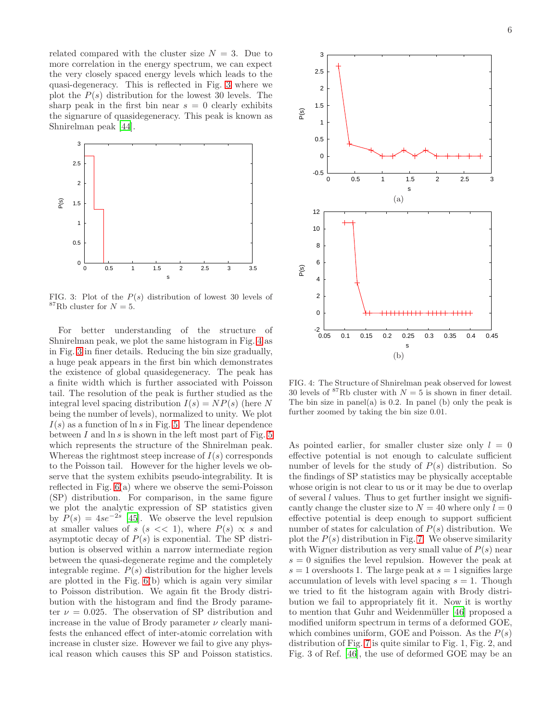related compared with the cluster size  $N = 3$ . Due to more correlation in the energy spectrum, we can expect the very closely spaced energy levels which leads to the quasi-degeneracy. This is reflected in Fig. [3](#page-5-0) where we plot the  $P(s)$  distribution for the lowest 30 levels. The sharp peak in the first bin near  $s = 0$  clearly exhibits the signarure of quasidegeneracy. This peak is known as Shnirelman peak [\[44](#page-10-16)].



<span id="page-5-0"></span>FIG. 3: Plot of the  $P(s)$  distribution of lowest 30 levels of <sup>87</sup>Rb cluster for  $N = 5$ .

For better understanding of the structure of Shnirelman peak, we plot the same histogram in Fig. [4](#page-5-1) as in Fig. [3](#page-5-0) in finer details. Reducing the bin size gradually, a huge peak appears in the first bin which demonstrates the existence of global quasidegeneracy. The peak has a finite width which is further associated with Poisson tail. The resolution of the peak is further studied as the integral level spacing distribution  $I(s) = NP(s)$  (here N being the number of levels), normalized to unity. We plot  $I(s)$  as a function of  $\ln s$  in Fig. [5.](#page-6-0) The linear dependence between  $I$  and  $\ln s$  is shown in the left most part of Fig. [5](#page-6-0) which represents the structure of the Shnirelman peak. Whereas the rightmost steep increase of  $I(s)$  corresponds to the Poisson tail. However for the higher levels we observe that the system exhibits pseudo-integrability. It is reflected in Fig. [6\(](#page-6-1)a) where we observe the semi-Poisson (SP) distribution. For comparison, in the same figure we plot the analytic expression of SP statistics given by  $P(s) = 4se^{-2s}$  [\[45\]](#page-10-17). We observe the level repulsion at smaller values of s (s << 1), where  $P(s) \propto s$  and asymptotic decay of  $P(s)$  is exponential. The SP distribution is observed within a narrow intermediate region between the quasi-degenerate regime and the completely integrable regime.  $P(s)$  distribution for the higher levels are plotted in the Fig. [6\(](#page-6-1)b) which is again very similar to Poisson distribution. We again fit the Brody distribution with the histogram and find the Brody parameter  $\nu = 0.025$ . The observation of SP distribution and increase in the value of Brody parameter  $\nu$  clearly manifests the enhanced effect of inter-atomic correlation with increase in cluster size. However we fail to give any physical reason which causes this SP and Poisson statistics.



<span id="page-5-1"></span>FIG. 4: The Structure of Shnirelman peak observed for lowest 30 levels of <sup>87</sup>Rb cluster with  $N = 5$  is shown in finer detail. The bin size in panel(a) is 0.2. In panel (b) only the peak is further zoomed by taking the bin size 0.01.

As pointed earlier, for smaller cluster size only  $l = 0$ effective potential is not enough to calculate sufficient number of levels for the study of  $P(s)$  distribution. So the findings of SP statistics may be physically acceptable whose origin is not clear to us or it may be due to overlap of several  $l$  values. Thus to get further insight we significantly change the cluster size to  $N = 40$  where only  $l = 0$ effective potential is deep enough to support sufficient number of states for calculation of  $P(s)$  distribution. We plot the  $P(s)$  distribution in Fig. [7.](#page-6-2) We observe similarity with Wigner distribution as very small value of  $P(s)$  near  $s = 0$  signifies the level repulsion. However the peak at  $s = 1$  overshoots 1. The large peak at  $s = 1$  signifies large accumulation of levels with level spacing  $s = 1$ . Though we tried to fit the histogram again with Brody distribution we fail to appropriately fit it. Now it is worthy to mention that Guhr and Weidenmüller [\[46](#page-10-18)] proposed a modified uniform spectrum in terms of a deformed GOE, which combines uniform, GOE and Poisson. As the  $P(s)$ distribution of Fig. [7](#page-6-2) is quite similar to Fig. 1, Fig. 2, and Fig. 3 of Ref. [\[46](#page-10-18)], the use of deformed GOE may be an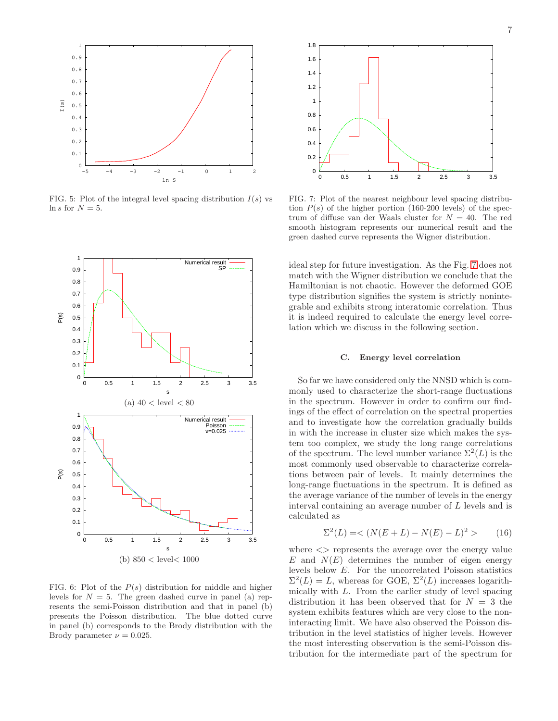

<span id="page-6-0"></span>FIG. 5: Plot of the integral level spacing distribution  $I(s)$  vs ln s for  $N = 5$ .



<span id="page-6-1"></span>FIG. 6: Plot of the  $P(s)$  distribution for middle and higher levels for  $N = 5$ . The green dashed curve in panel (a) represents the semi-Poisson distribution and that in panel (b) presents the Poisson distribution. The blue dotted curve in panel (b) corresponds to the Brody distribution with the Brody parameter  $\nu = 0.025$ .



<span id="page-6-2"></span>FIG. 7: Plot of the nearest neighbour level spacing distribution  $P(s)$  of the higher portion (160-200 levels) of the spectrum of diffuse van der Waals cluster for  $N = 40$ . The red smooth histogram represents our numerical result and the green dashed curve represents the Wigner distribution.

ideal step for future investigation. As the Fig. [7](#page-6-2) does not match with the Wigner distribution we conclude that the Hamiltonian is not chaotic. However the deformed GOE type distribution signifies the system is strictly nonintegrable and exhibits strong interatomic correlation. Thus it is indeed required to calculate the energy level correlation which we discuss in the following section.

### C. Energy level correlation

So far we have considered only the NNSD which is commonly used to characterize the short-range fluctuations in the spectrum. However in order to confirm our findings of the effect of correlation on the spectral properties and to investigate how the correlation gradually builds in with the increase in cluster size which makes the system too complex, we study the long range correlations of the spectrum. The level number variance  $\Sigma^2(L)$  is the most commonly used observable to characterize correlations between pair of levels. It mainly determines the long-range fluctuations in the spectrum. It is defined as the average variance of the number of levels in the energy interval containing an average number of L levels and is calculated as

$$
\Sigma^{2}(L) = \langle N(E+L) - N(E) - L \rangle^{2} \rangle \tag{16}
$$

where  $\langle \rangle$  represents the average over the energy value  $E$  and  $N(E)$  determines the number of eigen energy levels below E. For the uncorrelated Poisson statistics  $\Sigma^2(L) = L$ , whereas for GOE,  $\Sigma^2(L)$  increases logarithmically with L. From the earlier study of level spacing distribution it has been observed that for  $N = 3$  the system exhibits features which are very close to the noninteracting limit. We have also observed the Poisson distribution in the level statistics of higher levels. However the most interesting observation is the semi-Poisson distribution for the intermediate part of the spectrum for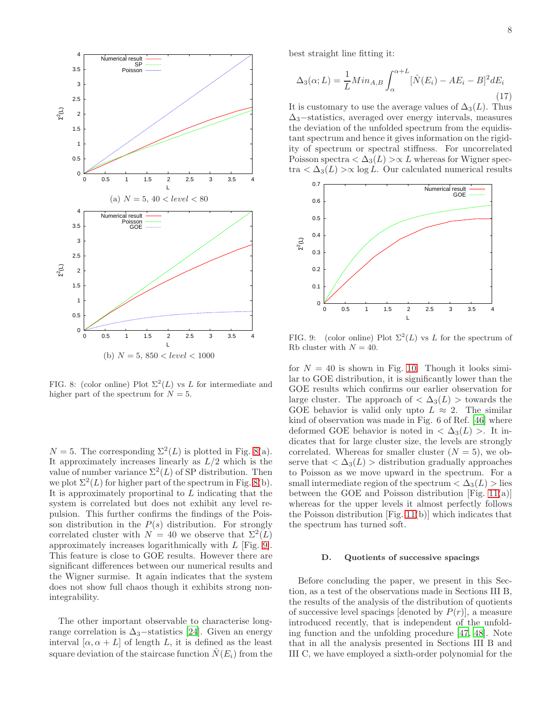

<span id="page-7-0"></span>FIG. 8: (color online) Plot  $\Sigma^2(L)$  vs L for intermediate and higher part of the spectrum for  $N = 5$ .

 $N = 5$ . The corresponding  $\Sigma^2(L)$  is plotted in Fig. [8\(](#page-7-0)a). It approximately increases linearly as  $L/2$  which is the value of number variance  $\Sigma^2(L)$  of SP distribution. Then we plot  $\Sigma^2(L)$  for higher part of the spectrum in Fig. [8\(](#page-7-0)b). It is approximately proportinal to L indicating that the system is correlated but does not exhibit any level repulsion. This further confirms the findings of the Poisson distribution in the  $P(s)$  distribution. For strongly correlated cluster with  $N = 40$  we observe that  $\Sigma^2(L)$ approximately increases logarithmically with L [Fig. [9\]](#page-7-1). This feature is close to GOE results. However there are significant differences between our numerical results and the Wigner surmise. It again indicates that the system does not show full chaos though it exhibits strong nonintegrability.

The other important observable to characterise longrange correlation is  $\Delta_3$ –statistics [\[24\]](#page-10-2). Given an energy interval  $[\alpha, \alpha + L]$  of length L, it is defined as the least square deviation of the staircase function  $N(E_i)$  from the best straight line fitting it:

$$
\Delta_3(\alpha; L) = \frac{1}{L} Min_{A,B} \int_{\alpha}^{\alpha+L} [\hat{N}(E_i) - AE_i - B]^2 dE_i
$$
\n(17)

It is customary to use the average values of  $\Delta_3(L)$ . Thus  $\Delta$ <sub>3</sub>−statistics, averaged over energy intervals, measures the deviation of the unfolded spectrum from the equidistant spectrum and hence it gives information on the rigidity of spectrum or spectral stiffness. For uncorrelated Poisson spectra  $\langle \Delta_3(L) \rangle \propto L$  whereas for Wigner spectra  $\langle \Delta_3(L) \rangle \propto \log L$ . Our calculated numerical results



<span id="page-7-1"></span>FIG. 9: (color online) Plot  $\Sigma^2(L)$  vs L for the spectrum of Rb cluster with  $N = 40$ .

for  $N = 40$  is shown in Fig. [10.](#page-8-0) Though it looks similar to GOE distribution, it is significantly lower than the GOE results which confirms our earlier observation for large cluster. The approach of  $\langle \Delta_3(L) \rangle$  towards the GOE behavior is valid only upto  $L \approx 2$ . The similar kind of observation was made in Fig. 6 of Ref. [\[46\]](#page-10-18) where deformed GOE behavior is noted in  $\langle \Delta_3(L) \rangle$ . It indicates that for large cluster size, the levels are strongly correlated. Whereas for smaller cluster  $(N = 5)$ , we observe that  $\langle \Delta_3(L) \rangle$  distribution gradually approaches to Poisson as we move upward in the spectrum. For a small intermediate region of the spectrum  $<\Delta_3(L)$  > lies between the GOE and Poisson distribution [Fig. [11\(](#page-8-1)a)] whereas for the upper levels it almost perfectly follows the Poisson distribution [Fig. [11\(](#page-8-1)b)] which indicates that the spectrum has turned soft.

### D. Quotients of successive spacings

Before concluding the paper, we present in this Section, as a test of the observations made in Sections III B, the results of the analysis of the distribution of quotients of successive level spacings [denoted by  $P(r)$ ], a measure introduced recently, that is independent of the unfolding function and the unfolding procedure [\[47](#page-10-19), [48\]](#page-10-20). Note that in all the analysis presented in Sections III B and III C, we have employed a sixth-order polynomial for the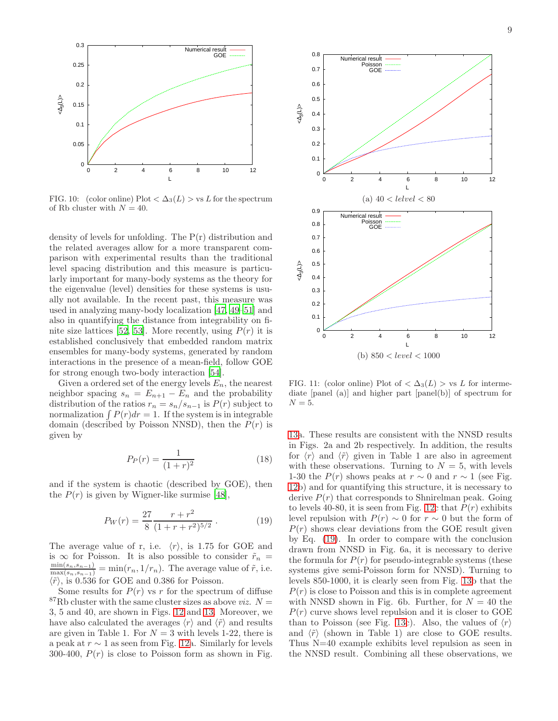

<span id="page-8-0"></span>FIG. 10: (color online) Plot  $\langle \Delta_3(L) \rangle$  vs L for the spectrum of Rb cluster with  $N = 40$ .

density of levels for unfolding. The P(r) distribution and the related averages allow for a more transparent comparison with experimental results than the traditional level spacing distribution and this measure is particularly important for many-body systems as the theory for the eigenvalue (level) densities for these systems is usually not available. In the recent past, this measure was used in analyzing many-body localization [\[47](#page-10-19), [49](#page-10-21)[–51\]](#page-10-22) and also in quantifying the distance from integrability on fi-nite size lattices [\[52](#page-10-23), [53\]](#page-10-24). More recently, using  $P(r)$  it is established conclusively that embedded random matrix ensembles for many-body systems, generated by random interactions in the presence of a mean-field, follow GOE for strong enough two-body interaction [\[54\]](#page-10-25).

Given a ordered set of the energy levels  $E_n$ , the nearest neighbor spacing  $s_n = E_{n+1} - E_n$  and the probability distribution of the ratios  $r_n = s_n/s_{n-1}$  is  $P(r)$  subject to normalization  $\int P(r)dr = 1$ . If the system is in integrable domain (described by Poisson NNSD), then the  $P(r)$  is given by

$$
P_P(r) = \frac{1}{(1+r)^2} \tag{18}
$$

and if the system is chaotic (described by GOE), then the  $P(r)$  is given by Wigner-like surmise [\[48\]](#page-10-20),

<span id="page-8-2"></span>
$$
P_W(r) = \frac{27}{8} \frac{r + r^2}{(1 + r + r^2)^{5/2}}.
$$
 (19)

The average value of r, i.e.  $\langle r \rangle$ , is 1.75 for GOE and is  $\infty$  for Poisson. It is also possible to consider  $\tilde{r}_n =$  $\frac{\min(s_n, s_{n-1})}{\max(s_n, s_{n-1})} = \min(r_n, 1/r_n)$ . The average value of  $\tilde{r}$ , i.e.  $\langle \tilde{r} \rangle$ , is 0.536 for GOE and 0.386 for Poisson.

Some results for  $P(r)$  vs r for the spectrum of diffuse <sup>87</sup>Rb cluster with the same cluster sizes as above *viz.*  $N =$ 3, 5 and 40, are shown in Figs. [12](#page-11-0) and [13.](#page-12-0) Moreover, we have also calculated the averages  $\langle r \rangle$  and  $\langle \tilde{r} \rangle$  and results are given in Table 1. For  $N = 3$  with levels 1-22, there is a peak at  $r \sim 1$  as seen from Fig. [12a](#page-11-0). Similarly for levels 300-400,  $P(r)$  is close to Poisson form as shown in Fig.



<span id="page-8-1"></span>FIG. 11: (color online) Plot of  $\langle \Delta_3(L) \rangle$  vs L for intermediate [panel (a)] and higher part [panel(b)] of spectrum for  $N=5$ .

[13a](#page-12-0). These results are consistent with the NNSD results in Figs. 2a and 2b respectively. In addition, the results for  $\langle r \rangle$  and  $\langle \tilde{r} \rangle$  given in Table 1 are also in agreement with these observations. Turning to  $N = 5$ , with levels 1-30 the  $P(r)$  shows peaks at  $r \sim 0$  and  $r \sim 1$  (see Fig. [12b](#page-11-0)) and for quantifying this structure, it is necessary to derive  $P(r)$  that corresponds to Shnirelman peak. Going to levels 40-80, it is seen from Fig. [12c](#page-11-0) that  $P(r)$  exhibits level repulsion with  $P(r) \sim 0$  for  $r \sim 0$  but the form of  $P(r)$  shows clear deviations from the GOE result given by Eq. [\(19\)](#page-8-2). In order to compare with the conclusion drawn from NNSD in Fig. 6a, it is necessary to derive the formula for  $P(r)$  for pseudo-integrable systems (these systems give semi-Poisson form for NNSD). Turning to levels 850-1000, it is clearly seen from Fig. [13b](#page-12-0) that the  $P(r)$  is close to Poisson and this is in complete agreement with NNSD shown in Fig. 6b. Further, for  $N = 40$  the  $P(r)$  curve shows level repulsion and it is closer to GOE than to Poisson (see Fig. [13c](#page-12-0)). Also, the values of  $\langle r \rangle$ and  $\langle \tilde{r} \rangle$  (shown in Table 1) are close to GOE results. Thus N=40 example exhibits level repulsion as seen in the NNSD result. Combining all these observations, we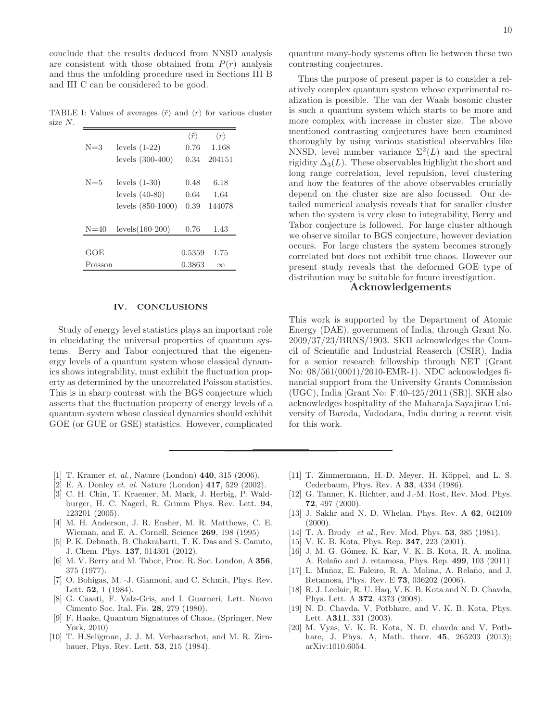conclude that the results deduced from NNSD analysis are consistent with those obtained from  $P(r)$  analysis and thus the unfolding procedure used in Sections III B and III C can be considered to be good.

TABLE I: Values of averages  $\langle \tilde{r} \rangle$  and  $\langle r \rangle$  for various cluster size N.

|          |                     | $\langle \tilde{r} \rangle$ | $\langle r \rangle$ |
|----------|---------------------|-----------------------------|---------------------|
| $N = 3$  | levels $(1-22)$     | 0.76                        | 1.168               |
|          | levels $(300-400)$  | 0.34                        | 204151              |
|          |                     |                             |                     |
| $N = 5$  | levels $(1-30)$     | 0.48                        | 6.18                |
|          | levels $(40-80)$    | 0.64                        | 1.64                |
|          | levels $(850-1000)$ | 0.39                        | 144078              |
|          |                     |                             |                     |
| $N = 40$ | levels $(160-200)$  | 0.76                        | 1.43                |
|          |                     |                             |                     |
| GOE      |                     | 0.5359                      | 1.75                |
| Poisson  |                     | 0.3863                      | $\infty$            |

### IV. CONCLUSIONS

Study of energy level statistics plays an important role in elucidating the universal properties of quantum systems. Berry and Tabor conjectured that the eigenenergy levels of a quantum system whose classical dynamics shows integrability, must exhibit the fluctuation property as determined by the uncorrelated Poisson statistics. This is in sharp contrast with the BGS conjecture which asserts that the fluctuation property of energy levels of a quantum system whose classical dynamics should exhibit GOE (or GUE or GSE) statistics. However, complicated

quantum many-body systems often lie between these two contrasting conjectures.

Thus the purpose of present paper is to consider a relatively complex quantum system whose experimental realization is possible. The van der Waals bosonic cluster is such a quantum system which starts to be more and more complex with increase in cluster size. The above mentioned contrasting conjectures have been examined thoroughly by using various statistical observables like NNSD, level number variance  $\Sigma^2(L)$  and the spectral rigidity  $\Delta_3(L)$ . These observables highlight the short and long range correlation, level repulsion, level clustering and how the features of the above observables crucially depend on the cluster size are also focussed. Our detailed numerical analysis reveals that for smaller cluster when the system is very close to integrability, Berry and Tabor conjecture is followed. For large cluster although we observe similar to BGS conjecture, however deviation occurs. For large clusters the system becomes strongly correlated but does not exhibit true chaos. However our present study reveals that the deformed GOE type of distribution may be suitable for future investigation.

# Acknowledgements

This work is supported by the Department of Atomic Energy (DAE), government of India, through Grant No. 2009/37/23/BRNS/1903. SKH acknowledges the Council of Scientific and Industrial Reaserch (CSIR), India for a senior research fellowship through NET (Grant No: 08/561(0001)/2010-EMR-1). NDC acknowledges financial support from the University Grants Commission (UGC), India [Grant No: F.40-425/2011 (SR)]. SKH also acknowledges hospitality of the Maharaja Sayajirao University of Baroda, Vadodara, India during a recent visit for this work.

- <span id="page-9-0"></span>[1] T. Kramer et. al., Nature (London) **440**, 315 (2006).
- <span id="page-9-1"></span>[2] E. A. Donley et. al. Nature (London) 417, 529 (2002).
- <span id="page-9-2"></span>[3] C. H. Chin, T. Kraemer, M. Mark, J. Herbig, P. Waldburger, H. C. Nagerl, R. Grimm Phys. Rev. Lett. 94, 123201 (2005).
- <span id="page-9-3"></span>[4] M. H. Anderson, J. R. Ensher, M. R. Matthews, C. E. Wieman, and E. A. Cornell, Science 269, 198 (1995)
- <span id="page-9-4"></span>[5] P. K. Debnath, B. Chakrabarti, T. K. Das and S. Canuto, J. Chem. Phys. 137, 014301 (2012).
- <span id="page-9-5"></span>[6] M. V. Berry and M. Tabor, Proc. R. Soc. London, A 356, 375 (1977).
- <span id="page-9-6"></span>[7] O. Bohigas, M. -J. Giannoni, and C. Schmit, Phys. Rev. Lett. 52, 1 (1984).
- <span id="page-9-7"></span>[8] G. Casati, F. Valz-Gris, and I. Guarneri, Lett. Nuovo Cimento Soc. Ital. Fis. 28, 279 (1980).
- [9] F. Haake, Quantum Signatures of Chaos, (Springer, New York, 2010)
- [10] T. H.Seligman, J. J. M. Verbaarschot, and M. R. Zirnbauer, Phys. Rev. Lett. 53, 215 (1984).
- [11] T. Zimmermann, H.-D. Meyer, H. Köppel, and L. S. Cederbaum, Phys. Rev. A 33, 4334 (1986).
- [12] G. Tanner, K. Richter, and J.-M. Rost, Rev. Mod. Phys. 72, 497 (2000).
- [13] J. Sakhr and N. D. Whelan, Phys. Rev. A 62, 042109  $(2000).$
- <span id="page-9-11"></span>[14] T. A. Brody *et al.*, Rev. Mod. Phys. **53**, 385 (1981).
- [15] V. K. B. Kota, Phys. Rep. **347**, 223 (2001).
- <span id="page-9-8"></span>[16] J. M. G. Gómez, K. Kar, V. K. B. Kota, R. A. molina, A. Relaño and J. retamosa, Phys. Rep. 499, 103 (2011)
- <span id="page-9-9"></span>[17] L. Muñoz, E. Faleiro, R. A. Molina, A. Relaño, and J. Retamosa, Phys. Rev. E 73, 036202 (2006).
- [18] R. J. Leclair, R. U. Haq, V. K. B. Kota and N. D. Chavda, Phys. Lett. A 372, 4373 (2008).
- [19] N. D. Chavda, V. Potbhare, and V. K. B. Kota, Phys. Lett. A311, 331 (2003).
- <span id="page-9-10"></span>[20] M. Vyas, V. K. B. Kota, N. D. chavda and V. Potbhare, J. Phys. A, Math. theor. **45**, 265203 (2013); arXiv:1010.6054.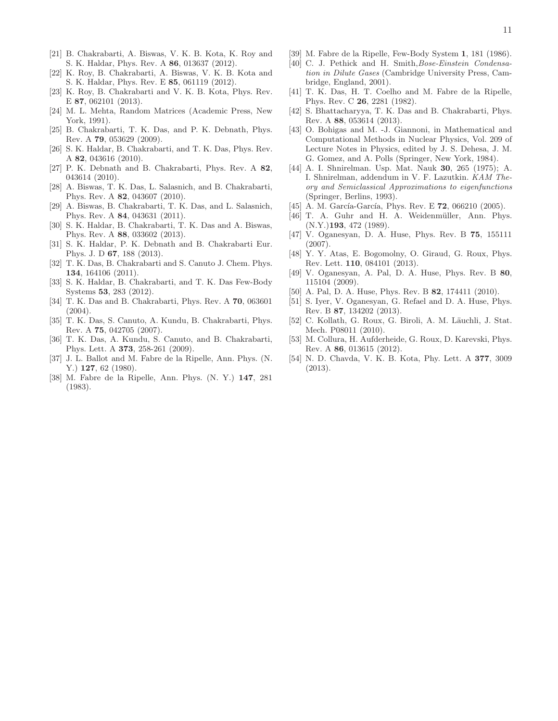- <span id="page-10-0"></span>[21] B. Chakrabarti, A. Biswas, V. K. B. Kota, K. Roy and S. K. Haldar, Phys. Rev. A 86, 013637 (2012).
- [22] K. Roy, B. Chakrabarti, A. Biswas, V. K. B. Kota and S. K. Haldar, Phys. Rev. E 85, 061119 (2012).
- <span id="page-10-1"></span>[23] K. Roy, B. Chakrabarti and V. K. B. Kota, Phys. Rev. E 87, 062101 (2013).
- <span id="page-10-2"></span>[24] M. L. Mehta, Random Matrices (Academic Press, New York, 1991).
- <span id="page-10-3"></span>[25] B. Chakrabarti, T. K. Das, and P. K. Debnath, Phys. Rev. A 79, 053629 (2009).
- [26] S. K. Haldar, B. Chakrabarti, and T. K. Das, Phys. Rev. A 82, 043616 (2010).
- [27] P. K. Debnath and B. Chakrabarti, Phys. Rev. A 82, 043614 (2010).
- [28] A. Biswas, T. K. Das, L. Salasnich, and B. Chakrabarti, Phys. Rev. A 82, 043607 (2010).
- [29] A. Biswas, B. Chakrabarti, T. K. Das, and L. Salasnich, Phys. Rev. A 84, 043631 (2011).
- [30] S. K. Haldar, B. Chakrabarti, T. K. Das and A. Biswas, Phys. Rev. A 88, 033602 (2013).
- <span id="page-10-4"></span>[31] S. K. Haldar, P. K. Debnath and B. Chakrabarti Eur. Phys. J. D 67, 188 (2013).
- <span id="page-10-5"></span>[32] T. K. Das, B. Chakrabarti and S. Canuto J. Chem. Phys. 134, 164106 (2011).
- <span id="page-10-6"></span>[33] S. K. Haldar, B. Chakrabarti, and T. K. Das Few-Body Systems 53, 283 (2012).
- <span id="page-10-7"></span>[34] T. K. Das and B. Chakrabarti, Phys. Rev. A 70, 063601 (2004).
- <span id="page-10-12"></span>[35] T. K. Das, S. Canuto, A. Kundu, B. Chakrabarti, Phys. Rev. A 75, 042705 (2007).
- <span id="page-10-8"></span>[36] T. K. Das, A. Kundu, S. Canuto, and B. Chakrabarti, Phys. Lett. A 373, 258-261 (2009).
- <span id="page-10-9"></span>[37] J. L. Ballot and M. Fabre de la Ripelle, Ann. Phys. (N. Y.) **127.** 62 (1980).
- [38] M. Fabre de la Ripelle, Ann. Phys. (N. Y.) 147, 281 (1983).
- <span id="page-10-10"></span>[39] M. Fabre de la Ripelle, Few-Body System 1, 181 (1986).
- <span id="page-10-11"></span>[40] C. J. Pethick and H. Smith, Bose-Einstein Condensation in Dilute Gases (Cambridge University Press, Cambridge, England, 2001).
- <span id="page-10-13"></span>[41] T. K. Das, H. T. Coelho and M. Fabre de la Ripelle, Phys. Rev. C 26, 2281 (1982).
- <span id="page-10-14"></span>[42] S. Bhattacharyya, T. K. Das and B. Chakrabarti, Phys. Rev. A 88, 053614 (2013).
- <span id="page-10-15"></span>[43] O. Bohigas and M. -J. Giannoni, in Mathematical and Computational Methods in Nuclear Physics, Vol. 209 of Lecture Notes in Physics, edited by J. S. Dehesa, J. M. G. Gomez, and A. Polls (Springer, New York, 1984).
- <span id="page-10-16"></span>[44] A. I. Shnirelman. Usp. Mat. Nauk 30, 265 (1975); A. I. Shnirelman, addendum in V. F. Lazutkin. KAM Theory and Semiclassical Approximations to eigenfunctions (Springer, Berlins, 1993).
- <span id="page-10-17"></span>[45] A. M. García-García, Phys. Rev. E  $72$ , 066210 (2005).
- <span id="page-10-18"></span>[46] T. A. Guhr and H. A. Weidenmüller, Ann. Phys.  $(N.Y.)$ **193**, 472 (1989).
- <span id="page-10-19"></span>[47] V. Oganesyan, D. A. Huse, Phys. Rev. B 75, 155111 (2007).
- <span id="page-10-20"></span>[48] Y. Y. Atas, E. Bogomolny, O. Giraud, G. Roux, Phys. Rev. Lett. 110, 084101 (2013).
- <span id="page-10-21"></span>[49] V. Oganesyan, A. Pal, D. A. Huse, Phys. Rev. B 80, 115104 (2009).
- [50] A. Pal, D. A. Huse, Phys. Rev. B **82**, 174411 (2010).
- <span id="page-10-22"></span>[51] S. Iyer, V. Oganesyan, G. Refael and D. A. Huse, Phys. Rev. B 87, 134202 (2013).
- <span id="page-10-23"></span>[52] C. Kollath, G. Roux, G. Biroli, A. M. Läuchli, J. Stat. Mech. P08011 (2010).
- <span id="page-10-24"></span>[53] M. Collura, H. Aufderheide, G. Roux, D. Karevski, Phys. Rev. A 86, 013615 (2012).
- <span id="page-10-25"></span>[54] N. D. Chavda, V. K. B. Kota, Phy. Lett. A 377, 3009 (2013).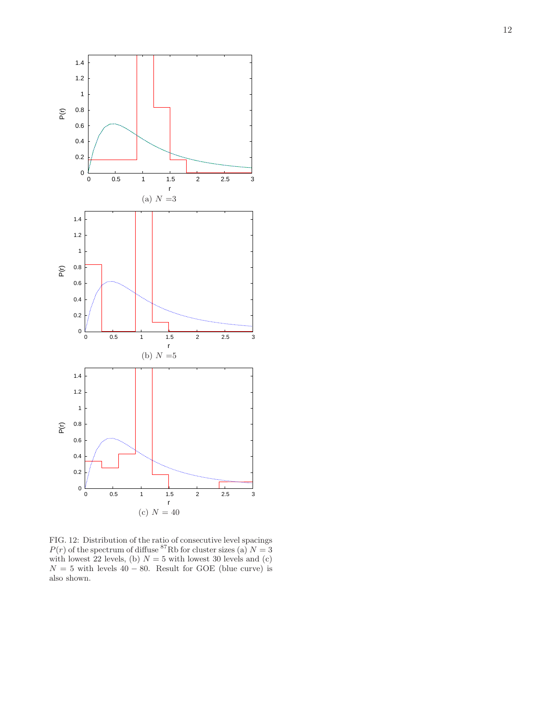

<span id="page-11-0"></span>FIG. 12: Distribution of the ratio of consecutive level spacings  $P(r)$  of the spectrum of diffuse <sup>87</sup>Rb for cluster sizes (a)  $N = 3$ with lowest 22 levels, (b)  $N = 5$  with lowest 30 levels and (c)  $N = 5$  with levels 40 – 80. Result for GOE (blue curve) is also shown.